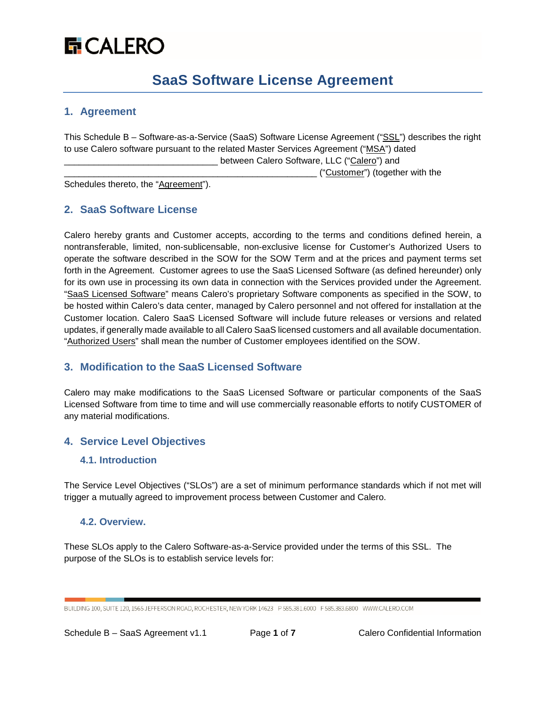# **品 CALERO**

## **SaaS Software License Agreement**

## **1. Agreement**

This Schedule B – Software-as-a-Service (SaaS) Software License Agreement ("SSL") describes the right to use Calero software pursuant to the related Master Services Agreement ("MSA") dated \_ between Calero Software, LLC ("Calero") and

\_\_\_\_\_\_\_\_\_\_\_\_\_\_\_\_\_\_\_\_\_\_\_\_\_\_\_\_\_\_\_\_\_\_\_\_\_\_\_\_\_\_\_\_\_\_\_\_\_\_\_ ("Customer") (together with the

Schedules thereto, the "Agreement").

## **2. SaaS Software License**

Calero hereby grants and Customer accepts, according to the terms and conditions defined herein, a nontransferable, limited, non-sublicensable, non-exclusive license for Customer's Authorized Users to operate the software described in the SOW for the SOW Term and at the prices and payment terms set forth in the Agreement. Customer agrees to use the SaaS Licensed Software (as defined hereunder) only for its own use in processing its own data in connection with the Services provided under the Agreement. "SaaS Licensed Software" means Calero's proprietary Software components as specified in the SOW, to be hosted within Calero's data center, managed by Calero personnel and not offered for installation at the Customer location. Calero SaaS Licensed Software will include future releases or versions and related updates, if generally made available to all Calero SaaS licensed customers and all available documentation. "Authorized Users" shall mean the number of Customer employees identified on the SOW.

## **3. Modification to the SaaS Licensed Software**

Calero may make modifications to the SaaS Licensed Software or particular components of the SaaS Licensed Software from time to time and will use commercially reasonable efforts to notify CUSTOMER of any material modifications.

## **4. Service Level Objectives**

## **4.1. Introduction**

The Service Level Objectives ("SLOs") are a set of minimum performance standards which if not met will trigger a mutually agreed to improvement process between Customer and Calero.

#### **4.2. Overview.**

These SLOs apply to the Calero Software-as-a-Service provided under the terms of this SSL. The purpose of the SLOs is to establish service levels for:

BUILDING 100, SUITE 120, 1565 JEFFERSON ROAD, ROCHESTER, NEW YORK 14623 P 585.381.6000 F 585.383.6800 WWW.CALERO.COM

Schedule B – SaaS Agreement v1.1 Page **1** of **7** Calero Confidential Information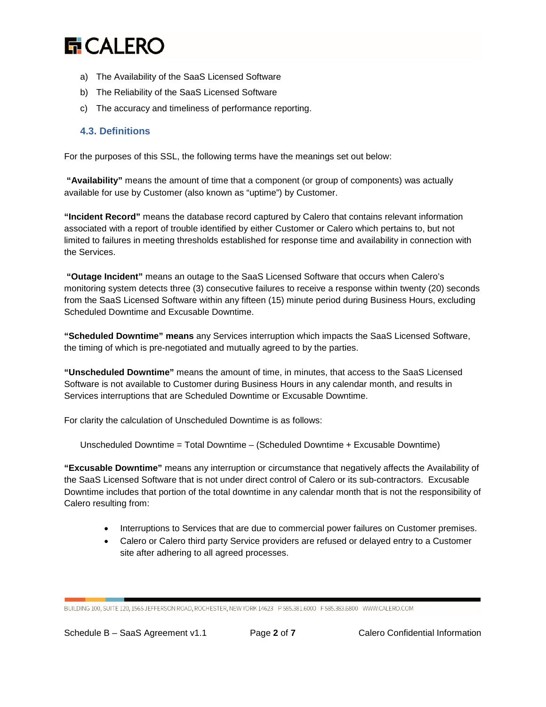

- a) The Availability of the SaaS Licensed Software
- b) The Reliability of the SaaS Licensed Software
- c) The accuracy and timeliness of performance reporting.

#### **4.3. Definitions**

For the purposes of this SSL, the following terms have the meanings set out below:

**"Availability"** means the amount of time that a component (or group of components) was actually available for use by Customer (also known as "uptime") by Customer.

**"Incident Record"** means the database record captured by Calero that contains relevant information associated with a report of trouble identified by either Customer or Calero which pertains to, but not limited to failures in meeting thresholds established for response time and availability in connection with the Services.

**"Outage Incident"** means an outage to the SaaS Licensed Software that occurs when Calero's monitoring system detects three (3) consecutive failures to receive a response within twenty (20) seconds from the SaaS Licensed Software within any fifteen (15) minute period during Business Hours, excluding Scheduled Downtime and Excusable Downtime.

**"Scheduled Downtime" means** any Services interruption which impacts the SaaS Licensed Software, the timing of which is pre-negotiated and mutually agreed to by the parties.

**"Unscheduled Downtime"** means the amount of time, in minutes, that access to the SaaS Licensed Software is not available to Customer during Business Hours in any calendar month, and results in Services interruptions that are Scheduled Downtime or Excusable Downtime.

For clarity the calculation of Unscheduled Downtime is as follows:

Unscheduled Downtime = Total Downtime – (Scheduled Downtime + Excusable Downtime)

**"Excusable Downtime"** means any interruption or circumstance that negatively affects the Availability of the SaaS Licensed Software that is not under direct control of Calero or its sub-contractors. Excusable Downtime includes that portion of the total downtime in any calendar month that is not the responsibility of Calero resulting from:

- Interruptions to Services that are due to commercial power failures on Customer premises.
- Calero or Calero third party Service providers are refused or delayed entry to a Customer site after adhering to all agreed processes.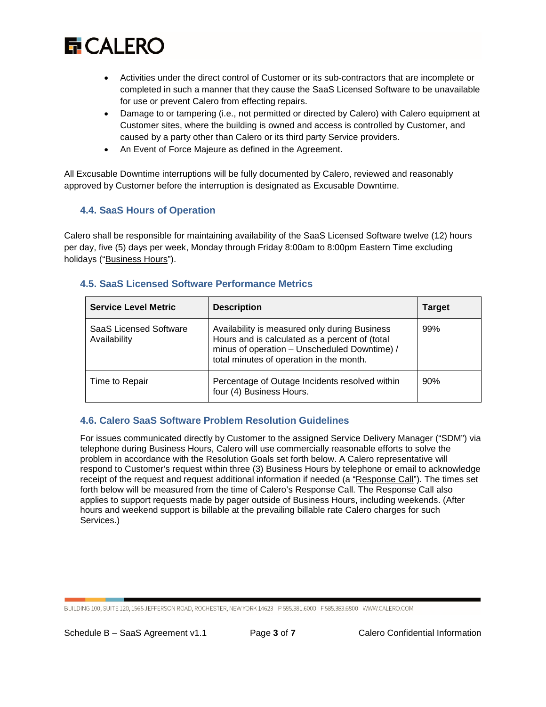

- Activities under the direct control of Customer or its sub-contractors that are incomplete or completed in such a manner that they cause the SaaS Licensed Software to be unavailable for use or prevent Calero from effecting repairs.
- Damage to or tampering (i.e., not permitted or directed by Calero) with Calero equipment at Customer sites, where the building is owned and access is controlled by Customer, and caused by a party other than Calero or its third party Service providers.
- An Event of Force Majeure as defined in the Agreement.

All Excusable Downtime interruptions will be fully documented by Calero, reviewed and reasonably approved by Customer before the interruption is designated as Excusable Downtime.

## **4.4. SaaS Hours of Operation**

Calero shall be responsible for maintaining availability of the SaaS Licensed Software twelve (12) hours per day, five (5) days per week, Monday through Friday 8:00am to 8:00pm Eastern Time excluding holidays ("Business Hours").

|  |  |  |  | <b>4.5. SaaS Licensed Software Performance Metrics</b> |  |
|--|--|--|--|--------------------------------------------------------|--|
|--|--|--|--|--------------------------------------------------------|--|

| <b>Service Level Metric</b>                   | <b>Description</b>                                                                                                                                                                          | <b>Target</b> |
|-----------------------------------------------|---------------------------------------------------------------------------------------------------------------------------------------------------------------------------------------------|---------------|
| <b>SaaS Licensed Software</b><br>Availability | Availability is measured only during Business<br>Hours and is calculated as a percent of (total<br>minus of operation - Unscheduled Downtime) /<br>total minutes of operation in the month. | 99%           |
| Time to Repair                                | Percentage of Outage Incidents resolved within<br>four (4) Business Hours.                                                                                                                  | 90%           |

#### **4.6. Calero SaaS Software Problem Resolution Guidelines**

For issues communicated directly by Customer to the assigned Service Delivery Manager ("SDM") via telephone during Business Hours, Calero will use commercially reasonable efforts to solve the problem in accordance with the Resolution Goals set forth below. A Calero representative will respond to Customer's request within three (3) Business Hours by telephone or email to acknowledge receipt of the request and request additional information if needed (a "Response Call"). The times set forth below will be measured from the time of Calero's Response Call. The Response Call also applies to support requests made by pager outside of Business Hours, including weekends. (After hours and weekend support is billable at the prevailing billable rate Calero charges for such Services.)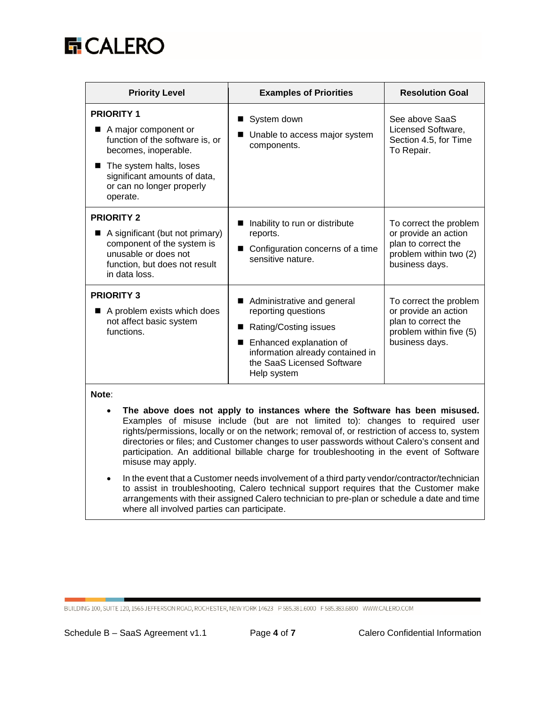

| <b>Priority Level</b>                                                                                                                                                                                      | <b>Examples of Priorities</b>                                                                                                                                                          | <b>Resolution Goal</b>                                                                                             |
|------------------------------------------------------------------------------------------------------------------------------------------------------------------------------------------------------------|----------------------------------------------------------------------------------------------------------------------------------------------------------------------------------------|--------------------------------------------------------------------------------------------------------------------|
| <b>PRIORITY 1</b><br>A major component or<br>function of the software is, or<br>becomes, inoperable.<br>■ The system halts, loses<br>significant amounts of data,<br>or can no longer properly<br>operate. | System down<br>Unable to access major system<br>components.                                                                                                                            | See above SaaS<br>Licensed Software,<br>Section 4.5, for Time<br>To Repair.                                        |
| <b>PRIORITY 2</b><br>A significant (but not primary)<br>component of the system is<br>unusable or does not<br>function, but does not result<br>in data loss.                                               | Inability to run or distribute<br>reports.<br>Configuration concerns of a time<br>sensitive nature.                                                                                    | To correct the problem<br>or provide an action<br>plan to correct the<br>problem within two (2)<br>business days.  |
| <b>PRIORITY 3</b><br>A problem exists which does<br>not affect basic system<br>functions.                                                                                                                  | Administrative and general<br>reporting questions<br>Rating/Costing issues<br>Enhanced explanation of<br>information already contained in<br>the SaaS Licensed Software<br>Help system | To correct the problem<br>or provide an action<br>plan to correct the<br>problem within five (5)<br>business days. |

#### **Note**:

- **The above does not apply to instances where the Software has been misused.** Examples of misuse include (but are not limited to): changes to required user rights/permissions, locally or on the network; removal of, or restriction of access to, system directories or files; and Customer changes to user passwords without Calero's consent and participation. An additional billable charge for troubleshooting in the event of Software misuse may apply.
- In the event that a Customer needs involvement of a third party vendor/contractor/technician to assist in troubleshooting, Calero technical support requires that the Customer make arrangements with their assigned Calero technician to pre-plan or schedule a date and time where all involved parties can participate.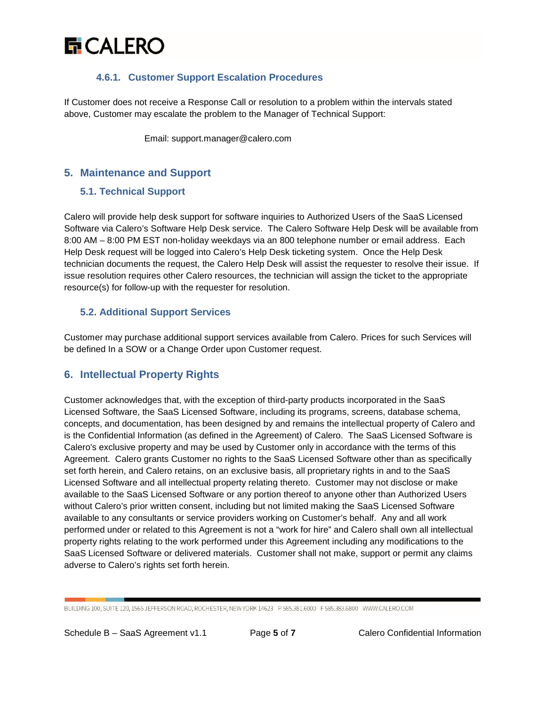

## **4.6.1. Customer Support Escalation Procedures**

If Customer does not receive a Response Call or resolution to a problem within the intervals stated above, Customer may escalate the problem to the Manager of Technical Support:

Email: support.manager@calero.com

## **5. Maintenance and Support**

## **5.1. Technical Support**

Calero will provide help desk support for software inquiries to Authorized Users of the SaaS Licensed Software via Calero's Software Help Desk service. The Calero Software Help Desk will be available from 8:00 AM – 8:00 PM EST non-holiday weekdays via an 800 telephone number or email address. Each Help Desk request will be logged into Calero's Help Desk ticketing system. Once the Help Desk technician documents the request, the Calero Help Desk will assist the requester to resolve their issue. If issue resolution requires other Calero resources, the technician will assign the ticket to the appropriate resource(s) for follow-up with the requester for resolution.

## **5.2. Additional Support Services**

Customer may purchase additional support services available from Calero. Prices for such Services will be defined In a SOW or a Change Order upon Customer request.

## **6. Intellectual Property Rights**

Customer acknowledges that, with the exception of third-party products incorporated in the SaaS Licensed Software, the SaaS Licensed Software, including its programs, screens, database schema, concepts, and documentation, has been designed by and remains the intellectual property of Calero and is the Confidential Information (as defined in the Agreement) of Calero. The SaaS Licensed Software is Calero's exclusive property and may be used by Customer only in accordance with the terms of this Agreement. Calero grants Customer no rights to the SaaS Licensed Software other than as specifically set forth herein, and Calero retains, on an exclusive basis, all proprietary rights in and to the SaaS Licensed Software and all intellectual property relating thereto. Customer may not disclose or make available to the SaaS Licensed Software or any portion thereof to anyone other than Authorized Users without Calero's prior written consent, including but not limited making the SaaS Licensed Software available to any consultants or service providers working on Customer's behalf. Any and all work performed under or related to this Agreement is not a "work for hire" and Calero shall own all intellectual property rights relating to the work performed under this Agreement including any modifications to the SaaS Licensed Software or delivered materials. Customer shall not make, support or permit any claims adverse to Calero's rights set forth herein.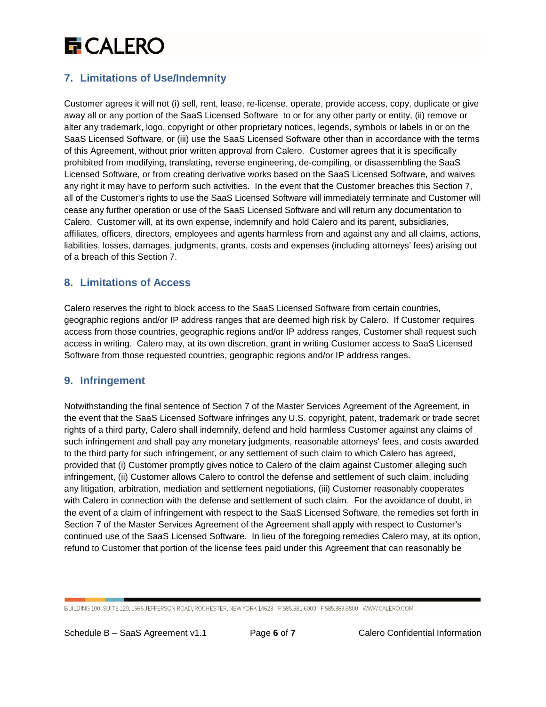# **G** CALERO

## **7. Limitations of Use/Indemnity**

Customer agrees it will not (i) sell, rent, lease, re-license, operate, provide access, copy, duplicate or give away all or any portion of the SaaS Licensed Software to or for any other party or entity, (ii) remove or alter any trademark, logo, copyright or other proprietary notices, legends, symbols or labels in or on the SaaS Licensed Software, or (iii) use the SaaS Licensed Software other than in accordance with the terms of this Agreement, without prior written approval from Calero. Customer agrees that it is specifically prohibited from modifying, translating, reverse engineering, de-compiling, or disassembling the SaaS Licensed Software, or from creating derivative works based on the SaaS Licensed Software, and waives any right it may have to perform such activities. In the event that the Customer breaches this Section 7, all of the Customer's rights to use the SaaS Licensed Software will immediately terminate and Customer will cease any further operation or use of the SaaS Licensed Software and will return any documentation to Calero. Customer will, at its own expense, indemnify and hold Calero and its parent, subsidiaries, affiliates, officers, directors, employees and agents harmless from and against any and all claims, actions, liabilities, losses, damages, judgments, grants, costs and expenses (including attorneys' fees) arising out of a breach of this Section 7.

## **8. Limitations of Access**

Calero reserves the right to block access to the SaaS Licensed Software from certain countries, geographic regions and/or IP address ranges that are deemed high risk by Calero. If Customer requires access from those countries, geographic regions and/or IP address ranges, Customer shall request such access in writing. Calero may, at its own discretion, grant in writing Customer access to SaaS Licensed Software from those requested countries, geographic regions and/or IP address ranges.

## **9. Infringement**

Notwithstanding the final sentence of Section 7 of the Master Services Agreement of the Agreement, in the event that the SaaS Licensed Software infringes any U.S. copyright, patent, trademark or trade secret rights of a third party, Calero shall indemnify, defend and hold harmless Customer against any claims of such infringement and shall pay any monetary judgments, reasonable attorneys' fees, and costs awarded to the third party for such infringement, or any settlement of such claim to which Calero has agreed, provided that (i) Customer promptly gives notice to Calero of the claim against Customer alleging such infringement, (ii) Customer allows Calero to control the defense and settlement of such claim, including any litigation, arbitration, mediation and settlement negotiations, (iii) Customer reasonably cooperates with Calero in connection with the defense and settlement of such claim. For the avoidance of doubt, in the event of a claim of infringement with respect to the SaaS Licensed Software, the remedies set forth in Section 7 of the Master Services Agreement of the Agreement shall apply with respect to Customer's continued use of the SaaS Licensed Software. In lieu of the foregoing remedies Calero may, at its option, refund to Customer that portion of the license fees paid under this Agreement that can reasonably be

BUILDING 100, SUITE 120, 1565 JEFFERSON ROAD, ROCHESTER, NEW YORK 14623 P 585.381.6000 F 585.383.6800 WWW.CALERO.COM

Schedule B – SaaS Agreement v1.1 Page **6** of **7** Calero Confidential Information